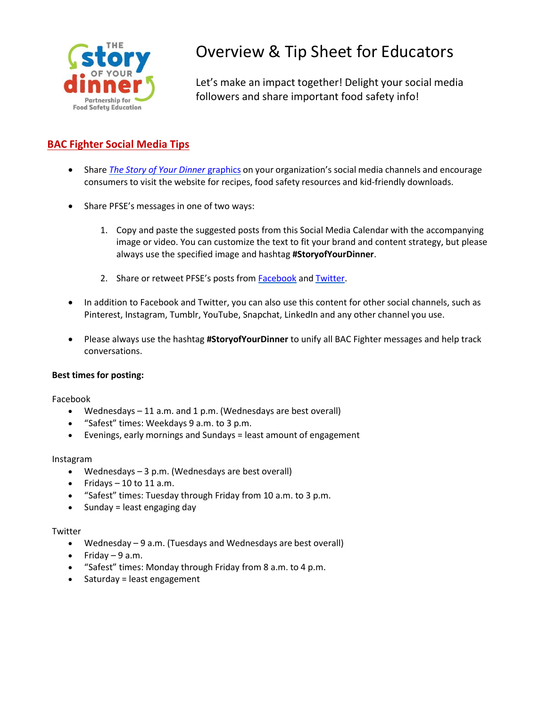

# Overview & Tip Sheet for Educators

Let's make an impact together! Delight your social media followers and share important food safety info!

# **BAC Fighter Social Media Tips**

- Share *The Story of Your Dinner* [graphics](http://www.fightbac.org/food-safety-education/the-story-of-your-dinner/social-media/) on your organization's social media channels and encourage consumers to visit the website for recipes, food safety resources and kid-friendly downloads.
- Share PFSE's messages in one of two ways:
	- 1. Copy and paste the suggested posts from this Social Media Calendar with the accompanying image or video. You can customize the text to fit your brand and content strategy, but please always use the specified image and hashtag **#StoryofYourDinner**.
	- 2. Share or retweet PFSE's posts from **[Facebook](https://www.facebook.com/FightBAC/)** and **Twitter**.
- In addition to Facebook and Twitter, you can also use this content for other social channels, such as Pinterest, Instagram, Tumblr, YouTube, Snapchat, LinkedIn and any other channel you use.
- Please always use the hashtag **#StoryofYourDinner** to unify all BAC Fighter messages and help track conversations.

#### **Best times for posting:**

Facebook

- Wednesdays 11 a.m. and 1 p.m. (Wednesdays are best overall)
- "Safest" times: Weekdays 9 a.m. to 3 p.m.
- Evenings, early mornings and Sundays = least amount of engagement

#### Instagram

- Wednesdays 3 p.m. (Wednesdays are best overall)
- Fridays  $-10$  to 11 a.m.
- "Safest" times: Tuesday through Friday from 10 a.m. to 3 p.m.
- Sunday = least engaging day

#### **Twitter**

- Wednesday 9 a.m. (Tuesdays and Wednesdays are best overall)
- $\bullet$  Friday 9 a.m.
- "Safest" times: Monday through Friday from 8 a.m. to 4 p.m.
- Saturday = least engagement